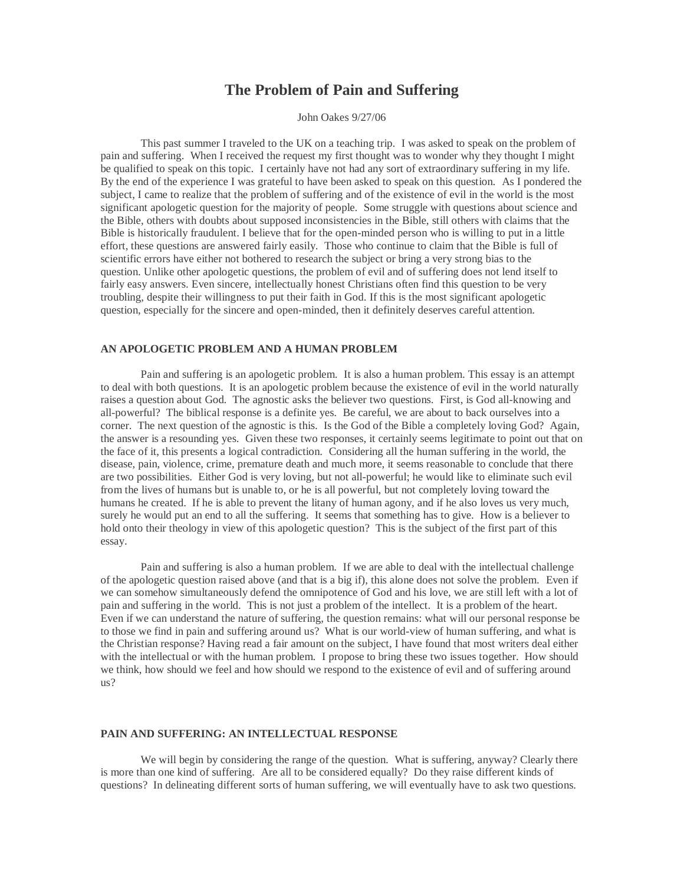# **The Problem of Pain and Suffering**

John Oakes 9/27/06

This past summer I traveled to the UK on a teaching trip. I was asked to speak on the problem of pain and suffering. When I received the request my first thought was to wonder why they thought I might be qualified to speak on this topic. I certainly have not had any sort of extraordinary suffering in my life. By the end of the experience I was grateful to have been asked to speak on this question. As I pondered the subject, I came to realize that the problem of suffering and of the existence of evil in the world is the most significant apologetic question for the majority of people. Some struggle with questions about science and the Bible, others with doubts about supposed inconsistencies in the Bible, still others with claims that the Bible is historically fraudulent. I believe that for the open-minded person who is willing to put in a little effort, these questions are answered fairly easily. Those who continue to claim that the Bible is full of scientific errors have either not bothered to research the subject or bring a very strong bias to the question. Unlike other apologetic questions, the problem of evil and of suffering does not lend itself to fairly easy answers. Even sincere, intellectually honest Christians often find this question to be very troubling, despite their willingness to put their faith in God. If this is the most significant apologetic question, especially for the sincere and open-minded, then it definitely deserves careful attention.

## **AN APOLOGETIC PROBLEM AND A HUMAN PROBLEM**

Pain and suffering is an apologetic problem. It is also a human problem. This essay is an attempt to deal with both questions. It is an apologetic problem because the existence of evil in the world naturally raises a question about God. The agnostic asks the believer two questions. First, is God all-knowing and all-powerful? The biblical response is a definite yes. Be careful, we are about to back ourselves into a corner. The next question of the agnostic is this. Is the God of the Bible a completely loving God? Again, the answer is a resounding yes. Given these two responses, it certainly seems legitimate to point out that on the face of it, this presents a logical contradiction. Considering all the human suffering in the world, the disease, pain, violence, crime, premature death and much more, it seems reasonable to conclude that there are two possibilities. Either God is very loving, but not all-powerful; he would like to eliminate such evil from the lives of humans but is unable to, or he is all powerful, but not completely loving toward the humans he created. If he is able to prevent the litany of human agony, and if he also loves us very much, surely he would put an end to all the suffering. It seems that something has to give. How is a believer to hold onto their theology in view of this apologetic question? This is the subject of the first part of this essay.

Pain and suffering is also a human problem. If we are able to deal with the intellectual challenge of the apologetic question raised above (and that is a big if), this alone does not solve the problem. Even if we can somehow simultaneously defend the omnipotence of God and his love, we are still left with a lot of pain and suffering in the world. This is not just a problem of the intellect. It is a problem of the heart. Even if we can understand the nature of suffering, the question remains: what will our personal response be to those we find in pain and suffering around us? What is our world-view of human suffering, and what is the Christian response? Having read a fair amount on the subject, I have found that most writers deal either with the intellectual or with the human problem. I propose to bring these two issues together. How should we think, how should we feel and how should we respond to the existence of evil and of suffering around us?

### **PAIN AND SUFFERING: AN INTELLECTUAL RESPONSE**

We will begin by considering the range of the question. What is suffering, anyway? Clearly there is more than one kind of suffering. Are all to be considered equally? Do they raise different kinds of questions? In delineating different sorts of human suffering, we will eventually have to ask two questions.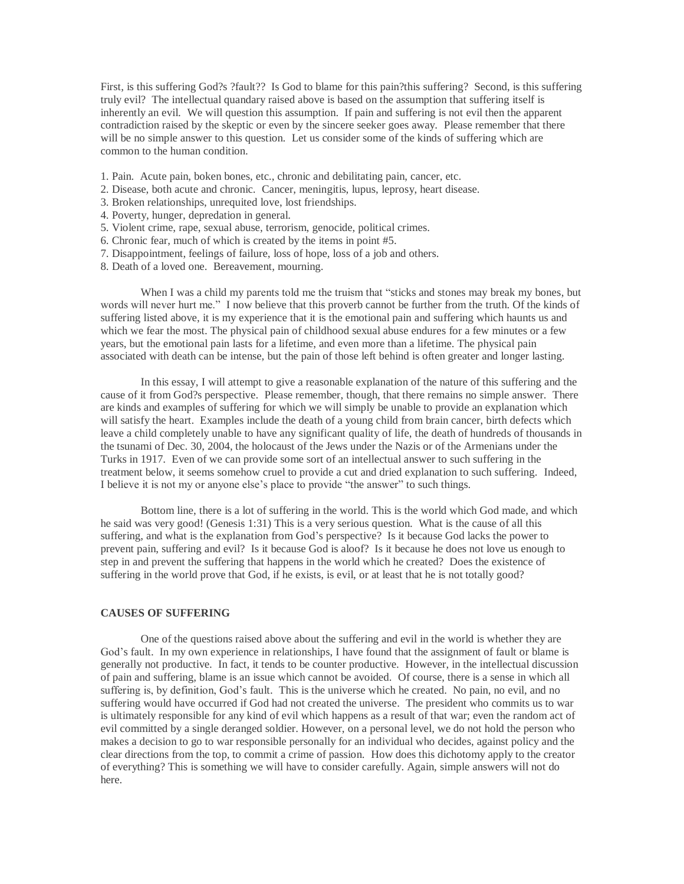First, is this suffering God?s ?fault?? Is God to blame for this pain?this suffering? Second, is this suffering truly evil? The intellectual quandary raised above is based on the assumption that suffering itself is inherently an evil. We will question this assumption. If pain and suffering is not evil then the apparent contradiction raised by the skeptic or even by the sincere seeker goes away. Please remember that there will be no simple answer to this question. Let us consider some of the kinds of suffering which are common to the human condition.

- 1. Pain. Acute pain, boken bones, etc., chronic and debilitating pain, cancer, etc.
- 2. Disease, both acute and chronic. Cancer, meningitis, lupus, leprosy, heart disease.
- 3. Broken relationships, unrequited love, lost friendships.
- 4. Poverty, hunger, depredation in general.
- 5. Violent crime, rape, sexual abuse, terrorism, genocide, political crimes.
- 6. Chronic fear, much of which is created by the items in point #5.
- 7. Disappointment, feelings of failure, loss of hope, loss of a job and others.
- 8. Death of a loved one. Bereavement, mourning.

When I was a child my parents told me the truism that "sticks and stones may break my bones, but words will never hurt me." I now believe that this proverb cannot be further from the truth. Of the kinds of suffering listed above, it is my experience that it is the emotional pain and suffering which haunts us and which we fear the most. The physical pain of childhood sexual abuse endures for a few minutes or a few years, but the emotional pain lasts for a lifetime, and even more than a lifetime. The physical pain associated with death can be intense, but the pain of those left behind is often greater and longer lasting.

In this essay, I will attempt to give a reasonable explanation of the nature of this suffering and the cause of it from God?s perspective. Please remember, though, that there remains no simple answer. There are kinds and examples of suffering for which we will simply be unable to provide an explanation which will satisfy the heart. Examples include the death of a young child from brain cancer, birth defects which leave a child completely unable to have any significant quality of life, the death of hundreds of thousands in the tsunami of Dec. 30, 2004, the holocaust of the Jews under the Nazis or of the Armenians under the Turks in 1917. Even of we can provide some sort of an intellectual answer to such suffering in the treatment below, it seems somehow cruel to provide a cut and dried explanation to such suffering. Indeed, I believe it is not my or anyone else's place to provide "the answer" to such things.

Bottom line, there is a lot of suffering in the world. This is the world which God made, and which he said was very good! (Genesis 1:31) This is a very serious question. What is the cause of all this suffering, and what is the explanation from God's perspective? Is it because God lacks the power to prevent pain, suffering and evil? Is it because God is aloof? Is it because he does not love us enough to step in and prevent the suffering that happens in the world which he created? Does the existence of suffering in the world prove that God, if he exists, is evil, or at least that he is not totally good?

### **CAUSES OF SUFFERING**

One of the questions raised above about the suffering and evil in the world is whether they are God's fault. In my own experience in relationships, I have found that the assignment of fault or blame is generally not productive. In fact, it tends to be counter productive. However, in the intellectual discussion of pain and suffering, blame is an issue which cannot be avoided. Of course, there is a sense in which all suffering is, by definition, God's fault. This is the universe which he created. No pain, no evil, and no suffering would have occurred if God had not created the universe. The president who commits us to war is ultimately responsible for any kind of evil which happens as a result of that war; even the random act of evil committed by a single deranged soldier. However, on a personal level, we do not hold the person who makes a decision to go to war responsible personally for an individual who decides, against policy and the clear directions from the top, to commit a crime of passion. How does this dichotomy apply to the creator of everything? This is something we will have to consider carefully. Again, simple answers will not do here.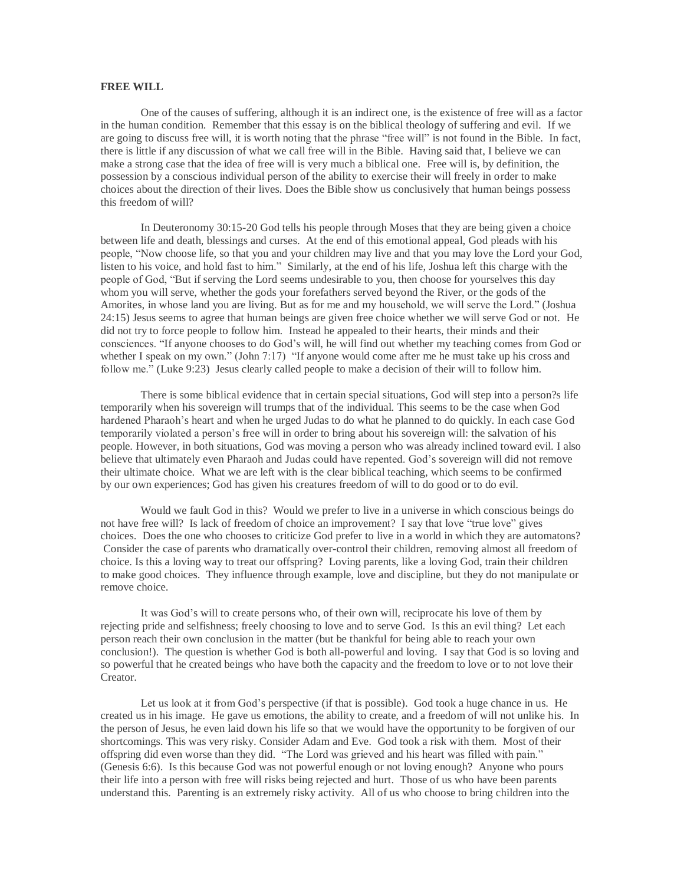## **FREE WILL**

One of the causes of suffering, although it is an indirect one, is the existence of free will as a factor in the human condition. Remember that this essay is on the biblical theology of suffering and evil. If we are going to discuss free will, it is worth noting that the phrase "free will" is not found in the Bible. In fact, there is little if any discussion of what we call free will in the Bible. Having said that, I believe we can make a strong case that the idea of free will is very much a biblical one. Free will is, by definition, the possession by a conscious individual person of the ability to exercise their will freely in order to make choices about the direction of their lives. Does the Bible show us conclusively that human beings possess this freedom of will?

In Deuteronomy 30:15-20 God tells his people through Moses that they are being given a choice between life and death, blessings and curses. At the end of this emotional appeal, God pleads with his people, "Now choose life, so that you and your children may live and that you may love the Lord your God, listen to his voice, and hold fast to him." Similarly, at the end of his life, Joshua left this charge with the people of God, "But if serving the Lord seems undesirable to you, then choose for yourselves this day whom you will serve, whether the gods your forefathers served beyond the River, or the gods of the Amorites, in whose land you are living. But as for me and my household, we will serve the Lord." (Joshua 24:15) Jesus seems to agree that human beings are given free choice whether we will serve God or not. He did not try to force people to follow him. Instead he appealed to their hearts, their minds and their consciences. "If anyone chooses to do God's will, he will find out whether my teaching comes from God or whether I speak on my own." (John 7:17) "If anyone would come after me he must take up his cross and follow me." (Luke 9:23) Jesus clearly called people to make a decision of their will to follow him.

There is some biblical evidence that in certain special situations, God will step into a person?s life temporarily when his sovereign will trumps that of the individual. This seems to be the case when God hardened Pharaoh's heart and when he urged Judas to do what he planned to do quickly. In each case God temporarily violated a person's free will in order to bring about his sovereign will: the salvation of his people. However, in both situations, God was moving a person who was already inclined toward evil. I also believe that ultimately even Pharaoh and Judas could have repented. God's sovereign will did not remove their ultimate choice. What we are left with is the clear biblical teaching, which seems to be confirmed by our own experiences; God has given his creatures freedom of will to do good or to do evil.

Would we fault God in this? Would we prefer to live in a universe in which conscious beings do not have free will? Is lack of freedom of choice an improvement? I say that love "true love" gives choices. Does the one who chooses to criticize God prefer to live in a world in which they are automatons? Consider the case of parents who dramatically over-control their children, removing almost all freedom of choice. Is this a loving way to treat our offspring? Loving parents, like a loving God, train their children to make good choices. They influence through example, love and discipline, but they do not manipulate or remove choice.

It was God's will to create persons who, of their own will, reciprocate his love of them by rejecting pride and selfishness; freely choosing to love and to serve God. Is this an evil thing? Let each person reach their own conclusion in the matter (but be thankful for being able to reach your own conclusion!). The question is whether God is both all-powerful and loving. I say that God is so loving and so powerful that he created beings who have both the capacity and the freedom to love or to not love their Creator.

Let us look at it from God's perspective (if that is possible). God took a huge chance in us. He created us in his image. He gave us emotions, the ability to create, and a freedom of will not unlike his. In the person of Jesus, he even laid down his life so that we would have the opportunity to be forgiven of our shortcomings. This was very risky. Consider Adam and Eve. God took a risk with them. Most of their offspring did even worse than they did. "The Lord was grieved and his heart was filled with pain." (Genesis 6:6). Is this because God was not powerful enough or not loving enough? Anyone who pours their life into a person with free will risks being rejected and hurt. Those of us who have been parents understand this. Parenting is an extremely risky activity. All of us who choose to bring children into the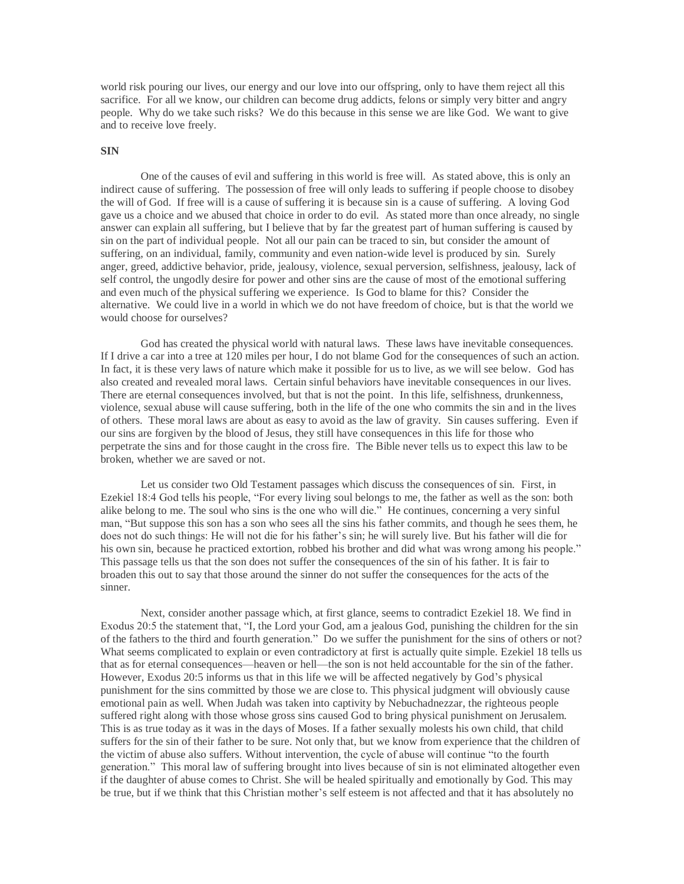world risk pouring our lives, our energy and our love into our offspring, only to have them reject all this sacrifice. For all we know, our children can become drug addicts, felons or simply very bitter and angry people. Why do we take such risks? We do this because in this sense we are like God. We want to give and to receive love freely.

### **SIN**

One of the causes of evil and suffering in this world is free will. As stated above, this is only an indirect cause of suffering. The possession of free will only leads to suffering if people choose to disobey the will of God. If free will is a cause of suffering it is because sin is a cause of suffering. A loving God gave us a choice and we abused that choice in order to do evil. As stated more than once already, no single answer can explain all suffering, but I believe that by far the greatest part of human suffering is caused by sin on the part of individual people. Not all our pain can be traced to sin, but consider the amount of suffering, on an individual, family, community and even nation-wide level is produced by sin. Surely anger, greed, addictive behavior, pride, jealousy, violence, sexual perversion, selfishness, jealousy, lack of self control, the ungodly desire for power and other sins are the cause of most of the emotional suffering and even much of the physical suffering we experience. Is God to blame for this? Consider the alternative. We could live in a world in which we do not have freedom of choice, but is that the world we would choose for ourselves?

God has created the physical world with natural laws. These laws have inevitable consequences. If I drive a car into a tree at 120 miles per hour, I do not blame God for the consequences of such an action. In fact, it is these very laws of nature which make it possible for us to live, as we will see below. God has also created and revealed moral laws. Certain sinful behaviors have inevitable consequences in our lives. There are eternal consequences involved, but that is not the point. In this life, selfishness, drunkenness, violence, sexual abuse will cause suffering, both in the life of the one who commits the sin and in the lives of others. These moral laws are about as easy to avoid as the law of gravity. Sin causes suffering. Even if our sins are forgiven by the blood of Jesus, they still have consequences in this life for those who perpetrate the sins and for those caught in the cross fire. The Bible never tells us to expect this law to be broken, whether we are saved or not.

Let us consider two Old Testament passages which discuss the consequences of sin. First, in Ezekiel 18:4 God tells his people, "For every living soul belongs to me, the father as well as the son: both alike belong to me. The soul who sins is the one who will die." He continues, concerning a very sinful man, "But suppose this son has a son who sees all the sins his father commits, and though he sees them, he does not do such things: He will not die for his father's sin; he will surely live. But his father will die for his own sin, because he practiced extortion, robbed his brother and did what was wrong among his people." This passage tells us that the son does not suffer the consequences of the sin of his father. It is fair to broaden this out to say that those around the sinner do not suffer the consequences for the acts of the sinner.

Next, consider another passage which, at first glance, seems to contradict Ezekiel 18. We find in Exodus 20:5 the statement that, "I, the Lord your God, am a jealous God, punishing the children for the sin of the fathers to the third and fourth generation." Do we suffer the punishment for the sins of others or not? What seems complicated to explain or even contradictory at first is actually quite simple. Ezekiel 18 tells us that as for eternal consequences—heaven or hell—the son is not held accountable for the sin of the father. However, Exodus 20:5 informs us that in this life we will be affected negatively by God's physical punishment for the sins committed by those we are close to. This physical judgment will obviously cause emotional pain as well. When Judah was taken into captivity by Nebuchadnezzar, the righteous people suffered right along with those whose gross sins caused God to bring physical punishment on Jerusalem. This is as true today as it was in the days of Moses. If a father sexually molests his own child, that child suffers for the sin of their father to be sure. Not only that, but we know from experience that the children of the victim of abuse also suffers. Without intervention, the cycle of abuse will continue "to the fourth generation." This moral law of suffering brought into lives because of sin is not eliminated altogether even if the daughter of abuse comes to Christ. She will be healed spiritually and emotionally by God. This may be true, but if we think that this Christian mother's self esteem is not affected and that it has absolutely no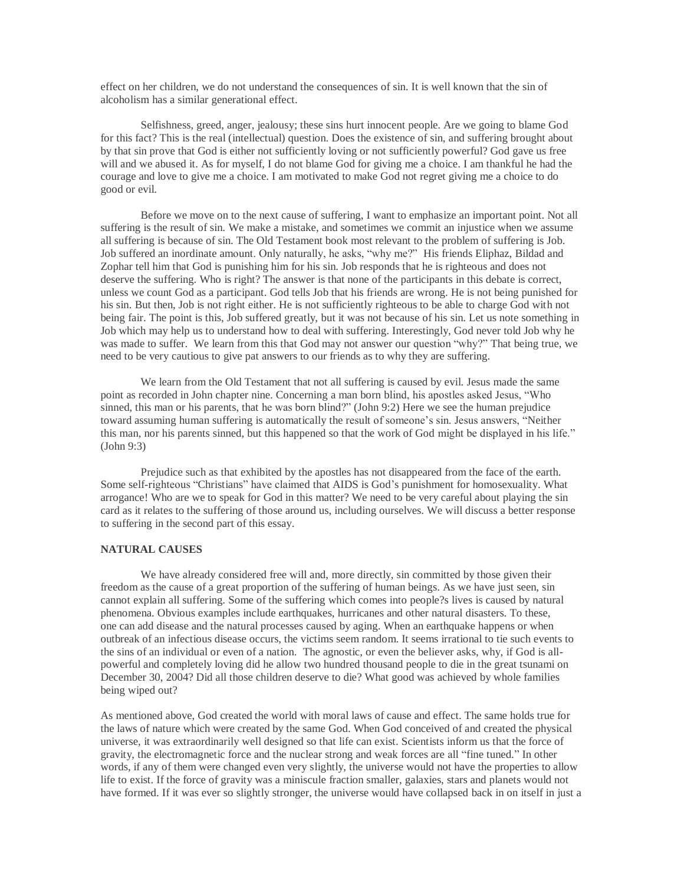effect on her children, we do not understand the consequences of sin. It is well known that the sin of alcoholism has a similar generational effect.

Selfishness, greed, anger, jealousy; these sins hurt innocent people. Are we going to blame God for this fact? This is the real (intellectual) question. Does the existence of sin, and suffering brought about by that sin prove that God is either not sufficiently loving or not sufficiently powerful? God gave us free will and we abused it. As for myself, I do not blame God for giving me a choice. I am thankful he had the courage and love to give me a choice. I am motivated to make God not regret giving me a choice to do good or evil.

Before we move on to the next cause of suffering, I want to emphasize an important point. Not all suffering is the result of sin. We make a mistake, and sometimes we commit an injustice when we assume all suffering is because of sin. The Old Testament book most relevant to the problem of suffering is Job. Job suffered an inordinate amount. Only naturally, he asks, "why me?" His friends Eliphaz, Bildad and Zophar tell him that God is punishing him for his sin. Job responds that he is righteous and does not deserve the suffering. Who is right? The answer is that none of the participants in this debate is correct, unless we count God as a participant. God tells Job that his friends are wrong. He is not being punished for his sin. But then, Job is not right either. He is not sufficiently righteous to be able to charge God with not being fair. The point is this, Job suffered greatly, but it was not because of his sin. Let us note something in Job which may help us to understand how to deal with suffering. Interestingly, God never told Job why he was made to suffer. We learn from this that God may not answer our question "why?" That being true, we need to be very cautious to give pat answers to our friends as to why they are suffering.

We learn from the Old Testament that not all suffering is caused by evil. Jesus made the same point as recorded in John chapter nine. Concerning a man born blind, his apostles asked Jesus, "Who sinned, this man or his parents, that he was born blind?" (John 9:2) Here we see the human prejudice toward assuming human suffering is automatically the result of someone's sin. Jesus answers, "Neither this man, nor his parents sinned, but this happened so that the work of God might be displayed in his life." (John 9:3)

Prejudice such as that exhibited by the apostles has not disappeared from the face of the earth. Some self-righteous "Christians" have claimed that AIDS is God's punishment for homosexuality. What arrogance! Who are we to speak for God in this matter? We need to be very careful about playing the sin card as it relates to the suffering of those around us, including ourselves. We will discuss a better response to suffering in the second part of this essay.

### **NATURAL CAUSES**

We have already considered free will and, more directly, sin committed by those given their freedom as the cause of a great proportion of the suffering of human beings. As we have just seen, sin cannot explain all suffering. Some of the suffering which comes into people?s lives is caused by natural phenomena. Obvious examples include earthquakes, hurricanes and other natural disasters. To these, one can add disease and the natural processes caused by aging. When an earthquake happens or when outbreak of an infectious disease occurs, the victims seem random. It seems irrational to tie such events to the sins of an individual or even of a nation. The agnostic, or even the believer asks, why, if God is allpowerful and completely loving did he allow two hundred thousand people to die in the great tsunami on December 30, 2004? Did all those children deserve to die? What good was achieved by whole families being wiped out?

As mentioned above, God created the world with moral laws of cause and effect. The same holds true for the laws of nature which were created by the same God. When God conceived of and created the physical universe, it was extraordinarily well designed so that life can exist. Scientists inform us that the force of gravity, the electromagnetic force and the nuclear strong and weak forces are all "fine tuned." In other words, if any of them were changed even very slightly, the universe would not have the properties to allow life to exist. If the force of gravity was a miniscule fraction smaller, galaxies, stars and planets would not have formed. If it was ever so slightly stronger, the universe would have collapsed back in on itself in just a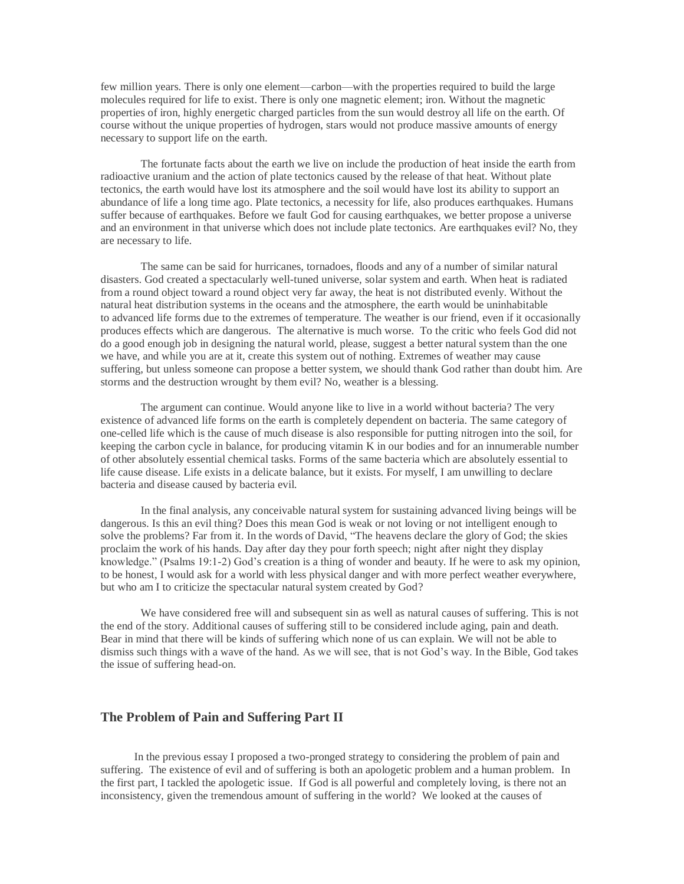few million years. There is only one element—carbon—with the properties required to build the large molecules required for life to exist. There is only one magnetic element; iron. Without the magnetic properties of iron, highly energetic charged particles from the sun would destroy all life on the earth. Of course without the unique properties of hydrogen, stars would not produce massive amounts of energy necessary to support life on the earth.

The fortunate facts about the earth we live on include the production of heat inside the earth from radioactive uranium and the action of plate tectonics caused by the release of that heat. Without plate tectonics, the earth would have lost its atmosphere and the soil would have lost its ability to support an abundance of life a long time ago. Plate tectonics, a necessity for life, also produces earthquakes. Humans suffer because of earthquakes. Before we fault God for causing earthquakes, we better propose a universe and an environment in that universe which does not include plate tectonics. Are earthquakes evil? No, they are necessary to life.

The same can be said for hurricanes, tornadoes, floods and any of a number of similar natural disasters. God created a spectacularly well-tuned universe, solar system and earth. When heat is radiated from a round object toward a round object very far away, the heat is not distributed evenly. Without the natural heat distribution systems in the oceans and the atmosphere, the earth would be uninhabitable to advanced life forms due to the extremes of temperature. The weather is our friend, even if it occasionally produces effects which are dangerous. The alternative is much worse. To the critic who feels God did not do a good enough job in designing the natural world, please, suggest a better natural system than the one we have, and while you are at it, create this system out of nothing. Extremes of weather may cause suffering, but unless someone can propose a better system, we should thank God rather than doubt him. Are storms and the destruction wrought by them evil? No, weather is a blessing.

The argument can continue. Would anyone like to live in a world without bacteria? The very existence of advanced life forms on the earth is completely dependent on bacteria. The same category of one-celled life which is the cause of much disease is also responsible for putting nitrogen into the soil, for keeping the carbon cycle in balance, for producing vitamin K in our bodies and for an innumerable number of other absolutely essential chemical tasks. Forms of the same bacteria which are absolutely essential to life cause disease. Life exists in a delicate balance, but it exists. For myself, I am unwilling to declare bacteria and disease caused by bacteria evil.

In the final analysis, any conceivable natural system for sustaining advanced living beings will be dangerous. Is this an evil thing? Does this mean God is weak or not loving or not intelligent enough to solve the problems? Far from it. In the words of David, "The heavens declare the glory of God; the skies proclaim the work of his hands. Day after day they pour forth speech; night after night they display knowledge." (Psalms 19:1-2) God's creation is a thing of wonder and beauty. If he were to ask my opinion, to be honest, I would ask for a world with less physical danger and with more perfect weather everywhere, but who am I to criticize the spectacular natural system created by God?

We have considered free will and subsequent sin as well as natural causes of suffering. This is not the end of the story. Additional causes of suffering still to be considered include aging, pain and death. Bear in mind that there will be kinds of suffering which none of us can explain. We will not be able to dismiss such things with a wave of the hand. As we will see, that is not God's way. In the Bible, God takes the issue of suffering head-on.

## **The Problem of Pain and Suffering Part II**

 In the previous essay I proposed a two-pronged strategy to considering the problem of pain and suffering. The existence of evil and of suffering is both an apologetic problem and a human problem. In the first part, I tackled the apologetic issue. If God is all powerful and completely loving, is there not an inconsistency, given the tremendous amount of suffering in the world? We looked at the causes of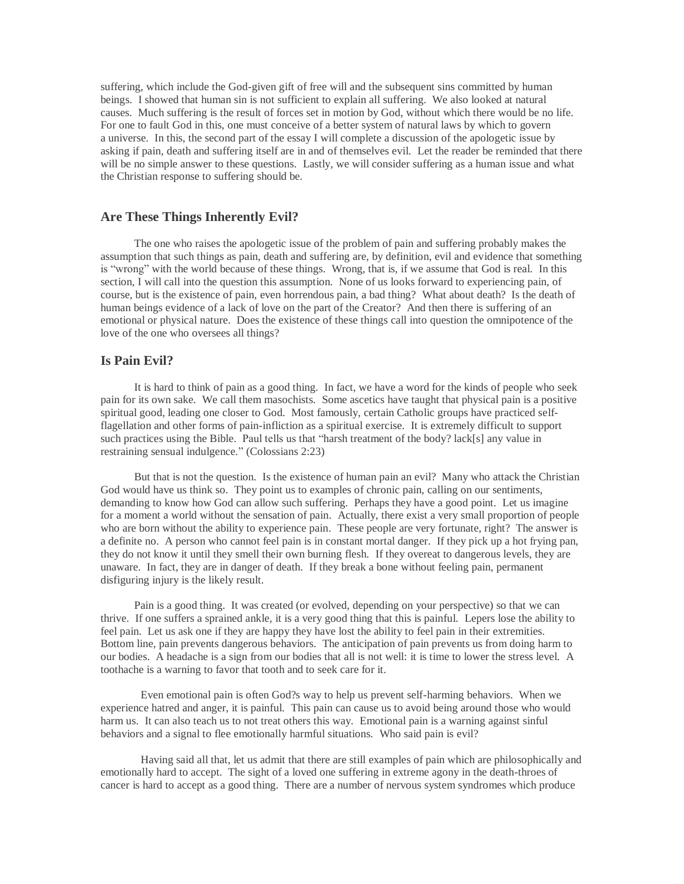suffering, which include the God-given gift of free will and the subsequent sins committed by human beings. I showed that human sin is not sufficient to explain all suffering. We also looked at natural causes. Much suffering is the result of forces set in motion by God, without which there would be no life. For one to fault God in this, one must conceive of a better system of natural laws by which to govern a universe. In this, the second part of the essay I will complete a discussion of the apologetic issue by asking if pain, death and suffering itself are in and of themselves evil. Let the reader be reminded that there will be no simple answer to these questions. Lastly, we will consider suffering as a human issue and what the Christian response to suffering should be.

## **Are These Things Inherently Evil?**

 The one who raises the apologetic issue of the problem of pain and suffering probably makes the assumption that such things as pain, death and suffering are, by definition, evil and evidence that something is "wrong" with the world because of these things. Wrong, that is, if we assume that God is real. In this section, I will call into the question this assumption. None of us looks forward to experiencing pain, of course, but is the existence of pain, even horrendous pain, a bad thing? What about death? Is the death of human beings evidence of a lack of love on the part of the Creator? And then there is suffering of an emotional or physical nature. Does the existence of these things call into question the omnipotence of the love of the one who oversees all things?

### **Is Pain Evil?**

 It is hard to think of pain as a good thing. In fact, we have a word for the kinds of people who seek pain for its own sake. We call them masochists. Some ascetics have taught that physical pain is a positive spiritual good, leading one closer to God. Most famously, certain Catholic groups have practiced selfflagellation and other forms of pain-infliction as a spiritual exercise. It is extremely difficult to support such practices using the Bible. Paul tells us that "harsh treatment of the body? lack[s] any value in restraining sensual indulgence." (Colossians 2:23)

 But that is not the question. Is the existence of human pain an evil? Many who attack the Christian God would have us think so. They point us to examples of chronic pain, calling on our sentiments, demanding to know how God can allow such suffering. Perhaps they have a good point. Let us imagine for a moment a world without the sensation of pain. Actually, there exist a very small proportion of people who are born without the ability to experience pain. These people are very fortunate, right? The answer is a definite no. A person who cannot feel pain is in constant mortal danger. If they pick up a hot frying pan, they do not know it until they smell their own burning flesh. If they overeat to dangerous levels, they are unaware. In fact, they are in danger of death. If they break a bone without feeling pain, permanent disfiguring injury is the likely result.

 Pain is a good thing. It was created (or evolved, depending on your perspective) so that we can thrive. If one suffers a sprained ankle, it is a very good thing that this is painful. Lepers lose the ability to feel pain. Let us ask one if they are happy they have lost the ability to feel pain in their extremities. Bottom line, pain prevents dangerous behaviors. The anticipation of pain prevents us from doing harm to our bodies. A headache is a sign from our bodies that all is not well: it is time to lower the stress level. A toothache is a warning to favor that tooth and to seek care for it.

Even emotional pain is often God?s way to help us prevent self-harming behaviors. When we experience hatred and anger, it is painful. This pain can cause us to avoid being around those who would harm us. It can also teach us to not treat others this way. Emotional pain is a warning against sinful behaviors and a signal to flee emotionally harmful situations. Who said pain is evil?

Having said all that, let us admit that there are still examples of pain which are philosophically and emotionally hard to accept. The sight of a loved one suffering in extreme agony in the death-throes of cancer is hard to accept as a good thing. There are a number of nervous system syndromes which produce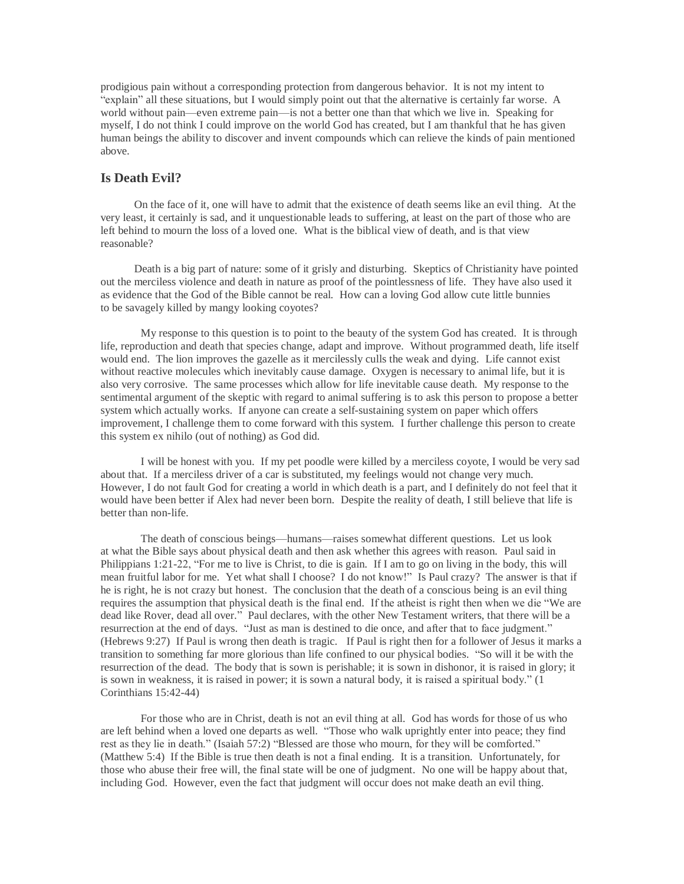prodigious pain without a corresponding protection from dangerous behavior. It is not my intent to "explain" all these situations, but I would simply point out that the alternative is certainly far worse. A world without pain—even extreme pain—is not a better one than that which we live in. Speaking for myself, I do not think I could improve on the world God has created, but I am thankful that he has given human beings the ability to discover and invent compounds which can relieve the kinds of pain mentioned above.

# **Is Death Evil?**

 On the face of it, one will have to admit that the existence of death seems like an evil thing. At the very least, it certainly is sad, and it unquestionable leads to suffering, at least on the part of those who are left behind to mourn the loss of a loved one. What is the biblical view of death, and is that view reasonable?

 Death is a big part of nature: some of it grisly and disturbing. Skeptics of Christianity have pointed out the merciless violence and death in nature as proof of the pointlessness of life. They have also used it as evidence that the God of the Bible cannot be real. How can a loving God allow cute little bunnies to be savagely killed by mangy looking coyotes?

My response to this question is to point to the beauty of the system God has created. It is through life, reproduction and death that species change, adapt and improve. Without programmed death, life itself would end. The lion improves the gazelle as it mercilessly culls the weak and dying. Life cannot exist without reactive molecules which inevitably cause damage. Oxygen is necessary to animal life, but it is also very corrosive. The same processes which allow for life inevitable cause death. My response to the sentimental argument of the skeptic with regard to animal suffering is to ask this person to propose a better system which actually works. If anyone can create a self-sustaining system on paper which offers improvement, I challenge them to come forward with this system. I further challenge this person to create this system ex nihilo (out of nothing) as God did.

I will be honest with you. If my pet poodle were killed by a merciless coyote, I would be very sad about that. If a merciless driver of a car is substituted, my feelings would not change very much. However, I do not fault God for creating a world in which death is a part, and I definitely do not feel that it would have been better if Alex had never been born. Despite the reality of death, I still believe that life is better than non-life.

The death of conscious beings—humans—raises somewhat different questions. Let us look at what the Bible says about physical death and then ask whether this agrees with reason. Paul said in Philippians 1:21-22, "For me to live is Christ, to die is gain. If I am to go on living in the body, this will mean fruitful labor for me. Yet what shall I choose? I do not know!" Is Paul crazy? The answer is that if he is right, he is not crazy but honest. The conclusion that the death of a conscious being is an evil thing requires the assumption that physical death is the final end. If the atheist is right then when we die "We are dead like Rover, dead all over." Paul declares, with the other New Testament writers, that there will be a resurrection at the end of days. "Just as man is destined to die once, and after that to face judgment." (Hebrews 9:27) If Paul is wrong then death is tragic. If Paul is right then for a follower of Jesus it marks a transition to something far more glorious than life confined to our physical bodies. "So will it be with the resurrection of the dead. The body that is sown is perishable; it is sown in dishonor, it is raised in glory; it is sown in weakness, it is raised in power; it is sown a natural body, it is raised a spiritual body." (1 Corinthians 15:42-44)

For those who are in Christ, death is not an evil thing at all. God has words for those of us who are left behind when a loved one departs as well. "Those who walk uprightly enter into peace; they find rest as they lie in death." (Isaiah 57:2) "Blessed are those who mourn, for they will be comforted." (Matthew 5:4) If the Bible is true then death is not a final ending. It is a transition. Unfortunately, for those who abuse their free will, the final state will be one of judgment. No one will be happy about that, including God. However, even the fact that judgment will occur does not make death an evil thing.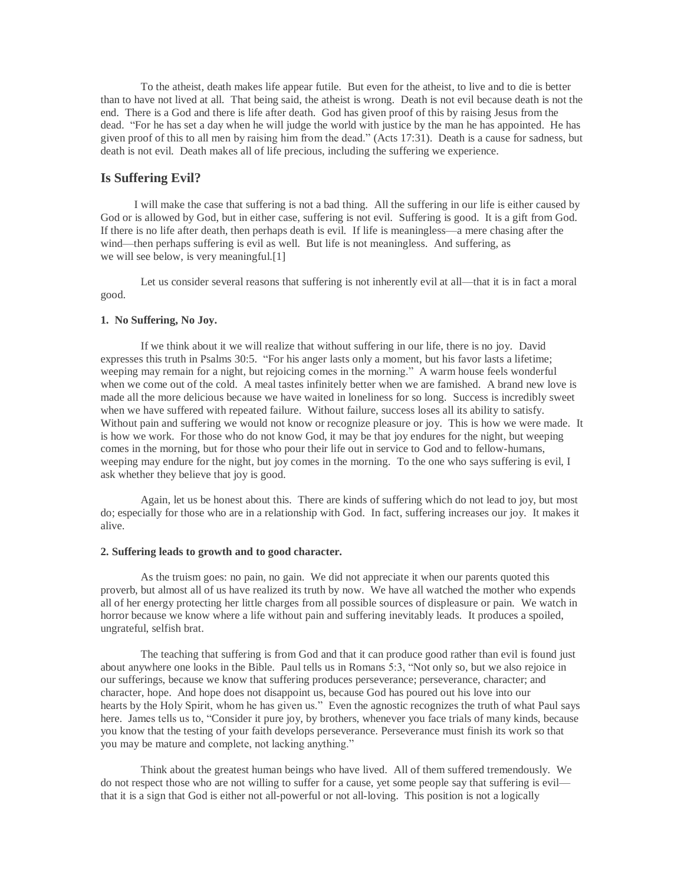To the atheist, death makes life appear futile. But even for the atheist, to live and to die is better than to have not lived at all. That being said, the atheist is wrong. Death is not evil because death is not the end. There is a God and there is life after death. God has given proof of this by raising Jesus from the dead. "For he has set a day when he will judge the world with justice by the man he has appointed. He has given proof of this to all men by raising him from the dead." (Acts 17:31). Death is a cause for sadness, but death is not evil. Death makes all of life precious, including the suffering we experience.

## **Is Suffering Evil?**

 I will make the case that suffering is not a bad thing. All the suffering in our life is either caused by God or is allowed by God, but in either case, suffering is not evil. Suffering is good. It is a gift from God. If there is no life after death, then perhaps death is evil. If life is meaningless—a mere chasing after the wind—then perhaps suffering is evil as well. But life is not meaningless. And suffering, as we will see below, is very meaningful.[1]

Let us consider several reasons that suffering is not inherently evil at all—that it is in fact a moral good.

## **1. No Suffering, No Joy.**

If we think about it we will realize that without suffering in our life, there is no joy. David expresses this truth in Psalms 30:5. "For his anger lasts only a moment, but his favor lasts a lifetime; weeping may remain for a night, but rejoicing comes in the morning." A warm house feels wonderful when we come out of the cold. A meal tastes infinitely better when we are famished. A brand new love is made all the more delicious because we have waited in loneliness for so long. Success is incredibly sweet when we have suffered with repeated failure. Without failure, success loses all its ability to satisfy. Without pain and suffering we would not know or recognize pleasure or joy. This is how we were made. It is how we work. For those who do not know God, it may be that joy endures for the night, but weeping comes in the morning, but for those who pour their life out in service to God and to fellow-humans, weeping may endure for the night, but joy comes in the morning. To the one who says suffering is evil, I ask whether they believe that joy is good.

Again, let us be honest about this. There are kinds of suffering which do not lead to joy, but most do; especially for those who are in a relationship with God. In fact, suffering increases our joy. It makes it alive.

## **2. Suffering leads to growth and to good character.**

As the truism goes: no pain, no gain. We did not appreciate it when our parents quoted this proverb, but almost all of us have realized its truth by now. We have all watched the mother who expends all of her energy protecting her little charges from all possible sources of displeasure or pain. We watch in horror because we know where a life without pain and suffering inevitably leads. It produces a spoiled, ungrateful, selfish brat.

The teaching that suffering is from God and that it can produce good rather than evil is found just about anywhere one looks in the Bible. Paul tells us in Romans 5:3, "Not only so, but we also rejoice in our sufferings, because we know that suffering produces perseverance; perseverance, character; and character, hope. And hope does not disappoint us, because God has poured out his love into our hearts by the Holy Spirit, whom he has given us." Even the agnostic recognizes the truth of what Paul says here. James tells us to, "Consider it pure joy, by brothers, whenever you face trials of many kinds, because you know that the testing of your faith develops perseverance. Perseverance must finish its work so that you may be mature and complete, not lacking anything."

Think about the greatest human beings who have lived. All of them suffered tremendously. We do not respect those who are not willing to suffer for a cause, yet some people say that suffering is evil that it is a sign that God is either not all-powerful or not all-loving. This position is not a logically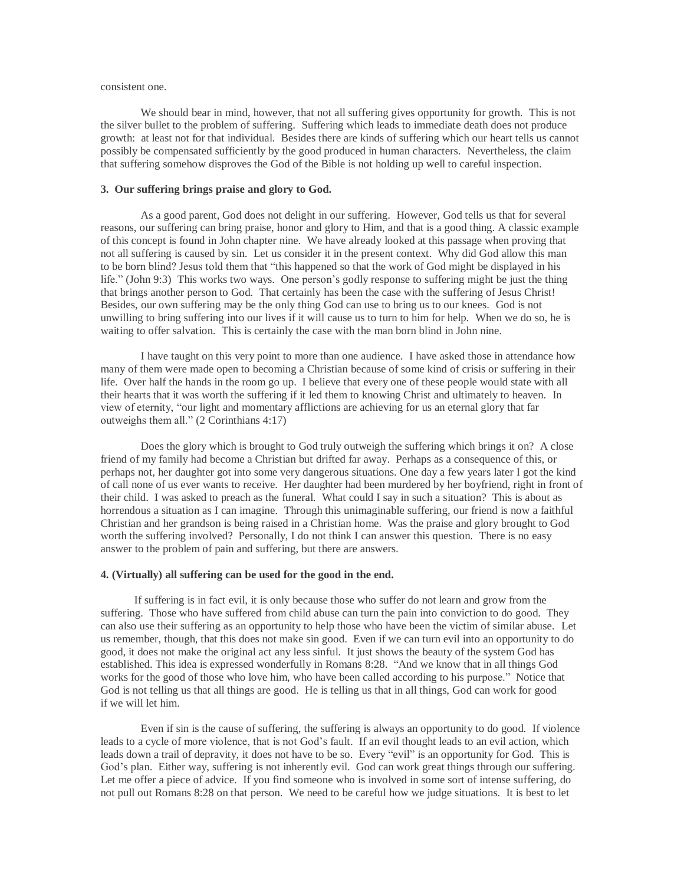### consistent one.

We should bear in mind, however, that not all suffering gives opportunity for growth. This is not the silver bullet to the problem of suffering. Suffering which leads to immediate death does not produce growth: at least not for that individual. Besides there are kinds of suffering which our heart tells us cannot possibly be compensated sufficiently by the good produced in human characters. Nevertheless, the claim that suffering somehow disproves the God of the Bible is not holding up well to careful inspection.

## **3. Our suffering brings praise and glory to God.**

As a good parent, God does not delight in our suffering. However, God tells us that for several reasons, our suffering can bring praise, honor and glory to Him, and that is a good thing. A classic example of this concept is found in John chapter nine. We have already looked at this passage when proving that not all suffering is caused by sin. Let us consider it in the present context. Why did God allow this man to be born blind? Jesus told them that "this happened so that the work of God might be displayed in his life." (John 9:3) This works two ways. One person's godly response to suffering might be just the thing that brings another person to God. That certainly has been the case with the suffering of Jesus Christ! Besides, our own suffering may be the only thing God can use to bring us to our knees. God is not unwilling to bring suffering into our lives if it will cause us to turn to him for help. When we do so, he is waiting to offer salvation. This is certainly the case with the man born blind in John nine.

I have taught on this very point to more than one audience. I have asked those in attendance how many of them were made open to becoming a Christian because of some kind of crisis or suffering in their life. Over half the hands in the room go up. I believe that every one of these people would state with all their hearts that it was worth the suffering if it led them to knowing Christ and ultimately to heaven. In view of eternity, "our light and momentary afflictions are achieving for us an eternal glory that far outweighs them all." (2 Corinthians 4:17)

Does the glory which is brought to God truly outweigh the suffering which brings it on? A close friend of my family had become a Christian but drifted far away. Perhaps as a consequence of this, or perhaps not, her daughter got into some very dangerous situations. One day a few years later I got the kind of call none of us ever wants to receive. Her daughter had been murdered by her boyfriend, right in front of their child. I was asked to preach as the funeral. What could I say in such a situation? This is about as horrendous a situation as I can imagine. Through this unimaginable suffering, our friend is now a faithful Christian and her grandson is being raised in a Christian home. Was the praise and glory brought to God worth the suffering involved? Personally, I do not think I can answer this question. There is no easy answer to the problem of pain and suffering, but there are answers.

#### **4. (Virtually) all suffering can be used for the good in the end.**

 If suffering is in fact evil, it is only because those who suffer do not learn and grow from the suffering. Those who have suffered from child abuse can turn the pain into conviction to do good. They can also use their suffering as an opportunity to help those who have been the victim of similar abuse. Let us remember, though, that this does not make sin good. Even if we can turn evil into an opportunity to do good, it does not make the original act any less sinful. It just shows the beauty of the system God has established. This idea is expressed wonderfully in Romans 8:28. "And we know that in all things God works for the good of those who love him, who have been called according to his purpose." Notice that God is not telling us that all things are good. He is telling us that in all things, God can work for good if we will let him.

Even if sin is the cause of suffering, the suffering is always an opportunity to do good. If violence leads to a cycle of more violence, that is not God's fault. If an evil thought leads to an evil action, which leads down a trail of depravity, it does not have to be so. Every "evil" is an opportunity for God. This is God's plan. Either way, suffering is not inherently evil. God can work great things through our suffering. Let me offer a piece of advice. If you find someone who is involved in some sort of intense suffering, do not pull out Romans 8:28 on that person. We need to be careful how we judge situations. It is best to let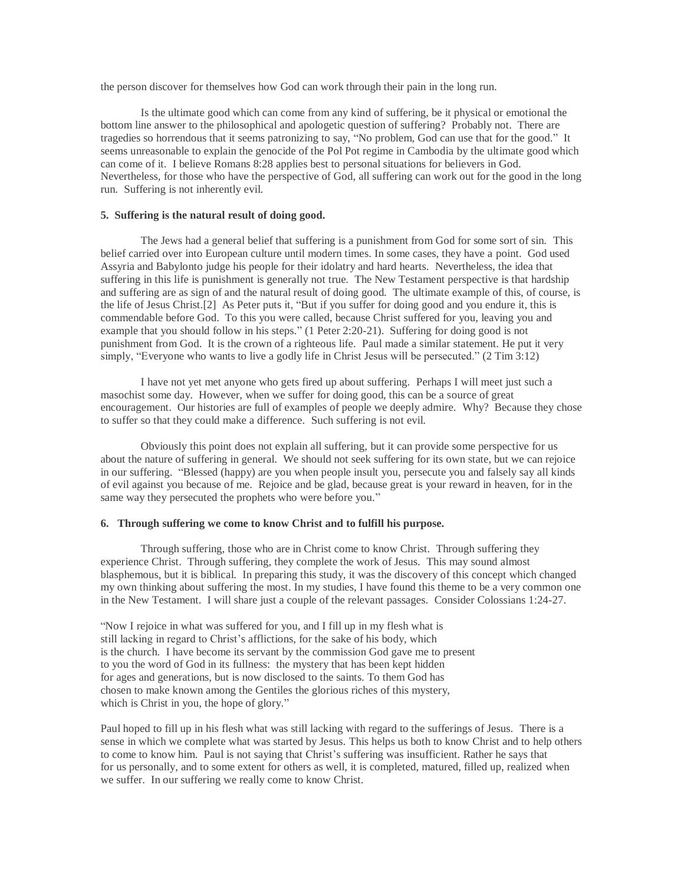the person discover for themselves how God can work through their pain in the long run.

Is the ultimate good which can come from any kind of suffering, be it physical or emotional the bottom line answer to the philosophical and apologetic question of suffering? Probably not. There are tragedies so horrendous that it seems patronizing to say, "No problem, God can use that for the good." It seems unreasonable to explain the genocide of the Pol Pot regime in Cambodia by the ultimate good which can come of it. I believe Romans 8:28 applies best to personal situations for believers in God. Nevertheless, for those who have the perspective of God, all suffering can work out for the good in the long run. Suffering is not inherently evil.

### **5. Suffering is the natural result of doing good.**

The Jews had a general belief that suffering is a punishment from God for some sort of sin. This belief carried over into European culture until modern times. In some cases, they have a point. God used Assyria and Babylonto judge his people for their idolatry and hard hearts. Nevertheless, the idea that suffering in this life is punishment is generally not true. The New Testament perspective is that hardship and suffering are as sign of and the natural result of doing good. The ultimate example of this, of course, is the life of Jesus Christ.[2] As Peter puts it, "But if you suffer for doing good and you endure it, this is commendable before God. To this you were called, because Christ suffered for you, leaving you and example that you should follow in his steps." (1 Peter 2:20-21). Suffering for doing good is not punishment from God. It is the crown of a righteous life. Paul made a similar statement. He put it very simply, "Everyone who wants to live a godly life in Christ Jesus will be persecuted." (2 Tim 3:12)

I have not yet met anyone who gets fired up about suffering. Perhaps I will meet just such a masochist some day. However, when we suffer for doing good, this can be a source of great encouragement. Our histories are full of examples of people we deeply admire. Why? Because they chose to suffer so that they could make a difference. Such suffering is not evil.

Obviously this point does not explain all suffering, but it can provide some perspective for us about the nature of suffering in general. We should not seek suffering for its own state, but we can rejoice in our suffering. "Blessed (happy) are you when people insult you, persecute you and falsely say all kinds of evil against you because of me. Rejoice and be glad, because great is your reward in heaven, for in the same way they persecuted the prophets who were before you."

#### **6. Through suffering we come to know Christ and to fulfill his purpose.**

Through suffering, those who are in Christ come to know Christ. Through suffering they experience Christ. Through suffering, they complete the work of Jesus. This may sound almost blasphemous, but it is biblical. In preparing this study, it was the discovery of this concept which changed my own thinking about suffering the most. In my studies, I have found this theme to be a very common one in the New Testament. I will share just a couple of the relevant passages. Consider Colossians 1:24-27.

"Now I rejoice in what was suffered for you, and I fill up in my flesh what is still lacking in regard to Christ's afflictions, for the sake of his body, which is the church. I have become its servant by the commission God gave me to present to you the word of God in its fullness: the mystery that has been kept hidden for ages and generations, but is now disclosed to the saints. To them God has chosen to make known among the Gentiles the glorious riches of this mystery, which is Christ in you, the hope of glory."

Paul hoped to fill up in his flesh what was still lacking with regard to the sufferings of Jesus. There is a sense in which we complete what was started by Jesus. This helps us both to know Christ and to help others to come to know him. Paul is not saying that Christ's suffering was insufficient. Rather he says that for us personally, and to some extent for others as well, it is completed, matured, filled up, realized when we suffer. In our suffering we really come to know Christ.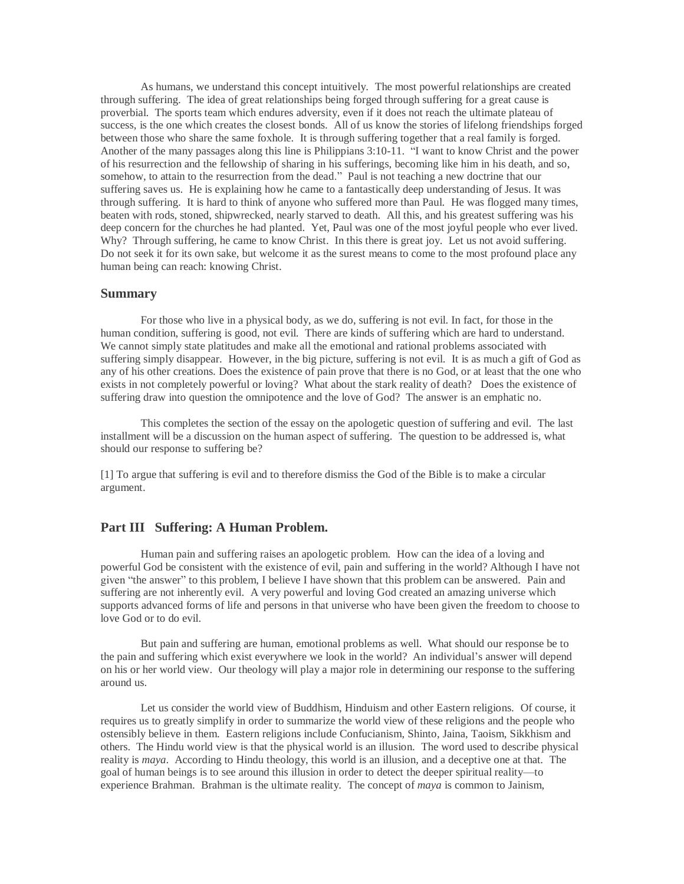As humans, we understand this concept intuitively. The most powerful relationships are created through suffering. The idea of great relationships being forged through suffering for a great cause is proverbial. The sports team which endures adversity, even if it does not reach the ultimate plateau of success, is the one which creates the closest bonds. All of us know the stories of lifelong friendships forged between those who share the same foxhole. It is through suffering together that a real family is forged. Another of the many passages along this line is Philippians 3:10-11. "I want to know Christ and the power of his resurrection and the fellowship of sharing in his sufferings, becoming like him in his death, and so, somehow, to attain to the resurrection from the dead." Paul is not teaching a new doctrine that our suffering saves us. He is explaining how he came to a fantastically deep understanding of Jesus. It was through suffering. It is hard to think of anyone who suffered more than Paul. He was flogged many times, beaten with rods, stoned, shipwrecked, nearly starved to death. All this, and his greatest suffering was his deep concern for the churches he had planted. Yet, Paul was one of the most joyful people who ever lived. Why? Through suffering, he came to know Christ. In this there is great joy. Let us not avoid suffering. Do not seek it for its own sake, but welcome it as the surest means to come to the most profound place any human being can reach: knowing Christ.

### **Summary**

For those who live in a physical body, as we do, suffering is not evil. In fact, for those in the human condition, suffering is good, not evil. There are kinds of suffering which are hard to understand. We cannot simply state platitudes and make all the emotional and rational problems associated with suffering simply disappear. However, in the big picture, suffering is not evil. It is as much a gift of God as any of his other creations. Does the existence of pain prove that there is no God, or at least that the one who exists in not completely powerful or loving? What about the stark reality of death? Does the existence of suffering draw into question the omnipotence and the love of God? The answer is an emphatic no.

This completes the section of the essay on the apologetic question of suffering and evil. The last installment will be a discussion on the human aspect of suffering. The question to be addressed is, what should our response to suffering be?

[1] To argue that suffering is evil and to therefore dismiss the God of the Bible is to make a circular argument.

# **Part III Suffering: A Human Problem.**

Human pain and suffering raises an apologetic problem. How can the idea of a loving and powerful God be consistent with the existence of evil, pain and suffering in the world? Although I have not given "the answer" to this problem, I believe I have shown that this problem can be answered. Pain and suffering are not inherently evil. A very powerful and loving God created an amazing universe which supports advanced forms of life and persons in that universe who have been given the freedom to choose to love God or to do evil.

But pain and suffering are human, emotional problems as well. What should our response be to the pain and suffering which exist everywhere we look in the world? An individual's answer will depend on his or her world view. Our theology will play a major role in determining our response to the suffering around us.

Let us consider the world view of Buddhism, Hinduism and other Eastern religions. Of course, it requires us to greatly simplify in order to summarize the world view of these religions and the people who ostensibly believe in them. Eastern religions include Confucianism, Shinto, Jaina, Taoism, Sikkhism and others. The Hindu world view is that the physical world is an illusion. The word used to describe physical reality is *maya*. According to Hindu theology, this world is an illusion, and a deceptive one at that. The goal of human beings is to see around this illusion in order to detect the deeper spiritual reality—to experience Brahman. Brahman is the ultimate reality. The concept of *maya* is common to Jainism,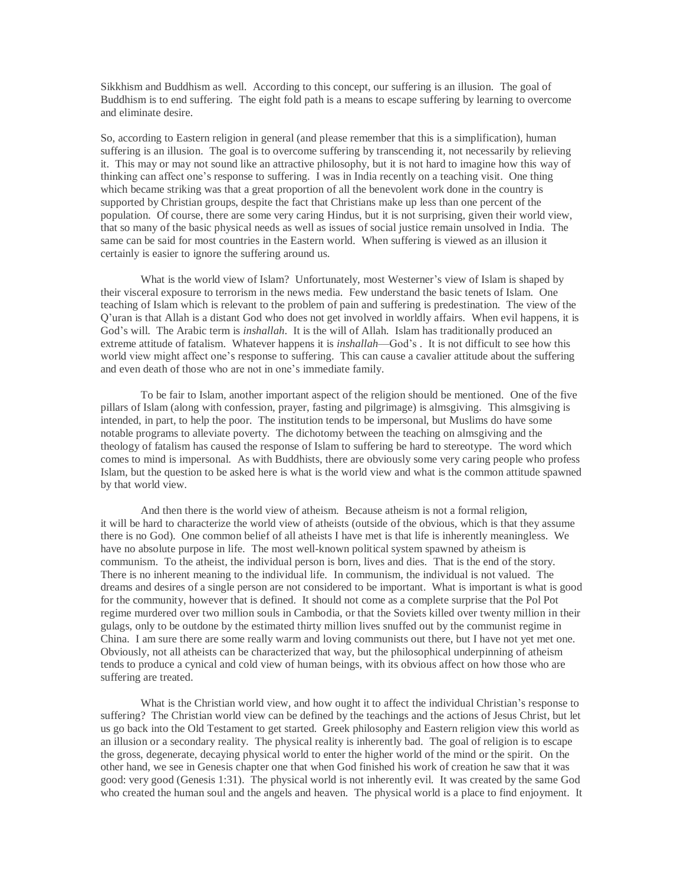Sikkhism and Buddhism as well. According to this concept, our suffering is an illusion. The goal of Buddhism is to end suffering. The eight fold path is a means to escape suffering by learning to overcome and eliminate desire.

So, according to Eastern religion in general (and please remember that this is a simplification), human suffering is an illusion. The goal is to overcome suffering by transcending it, not necessarily by relieving it. This may or may not sound like an attractive philosophy, but it is not hard to imagine how this way of thinking can affect one's response to suffering. I was in India recently on a teaching visit. One thing which became striking was that a great proportion of all the benevolent work done in the country is supported by Christian groups, despite the fact that Christians make up less than one percent of the population. Of course, there are some very caring Hindus, but it is not surprising, given their world view, that so many of the basic physical needs as well as issues of social justice remain unsolved in India. The same can be said for most countries in the Eastern world. When suffering is viewed as an illusion it certainly is easier to ignore the suffering around us.

What is the world view of Islam? Unfortunately, most Westerner's view of Islam is shaped by their visceral exposure to terrorism in the news media. Few understand the basic tenets of Islam. One teaching of Islam which is relevant to the problem of pain and suffering is predestination. The view of the Q'uran is that Allah is a distant God who does not get involved in worldly affairs. When evil happens, it is God's will. The Arabic term is *inshallah*. It is the will of Allah. Islam has traditionally produced an extreme attitude of fatalism. Whatever happens it is *inshallah*—God's . It is not difficult to see how this world view might affect one's response to suffering. This can cause a cavalier attitude about the suffering and even death of those who are not in one's immediate family.

To be fair to Islam, another important aspect of the religion should be mentioned. One of the five pillars of Islam (along with confession, prayer, fasting and pilgrimage) is almsgiving. This almsgiving is intended, in part, to help the poor. The institution tends to be impersonal, but Muslims do have some notable programs to alleviate poverty. The dichotomy between the teaching on almsgiving and the theology of fatalism has caused the response of Islam to suffering be hard to stereotype. The word which comes to mind is impersonal. As with Buddhists, there are obviously some very caring people who profess Islam, but the question to be asked here is what is the world view and what is the common attitude spawned by that world view.

And then there is the world view of atheism. Because atheism is not a formal religion, it will be hard to characterize the world view of atheists (outside of the obvious, which is that they assume there is no God). One common belief of all atheists I have met is that life is inherently meaningless. We have no absolute purpose in life. The most well-known political system spawned by atheism is communism. To the atheist, the individual person is born, lives and dies. That is the end of the story. There is no inherent meaning to the individual life. In communism, the individual is not valued. The dreams and desires of a single person are not considered to be important. What is important is what is good for the community, however that is defined. It should not come as a complete surprise that the Pol Pot regime murdered over two million souls in Cambodia, or that the Soviets killed over twenty million in their gulags, only to be outdone by the estimated thirty million lives snuffed out by the communist regime in China. I am sure there are some really warm and loving communists out there, but I have not yet met one. Obviously, not all atheists can be characterized that way, but the philosophical underpinning of atheism tends to produce a cynical and cold view of human beings, with its obvious affect on how those who are suffering are treated.

What is the Christian world view, and how ought it to affect the individual Christian's response to suffering? The Christian world view can be defined by the teachings and the actions of Jesus Christ, but let us go back into the Old Testament to get started. Greek philosophy and Eastern religion view this world as an illusion or a secondary reality. The physical reality is inherently bad. The goal of religion is to escape the gross, degenerate, decaying physical world to enter the higher world of the mind or the spirit. On the other hand, we see in Genesis chapter one that when God finished his work of creation he saw that it was good: very good (Genesis 1:31). The physical world is not inherently evil. It was created by the same God who created the human soul and the angels and heaven. The physical world is a place to find enjoyment. It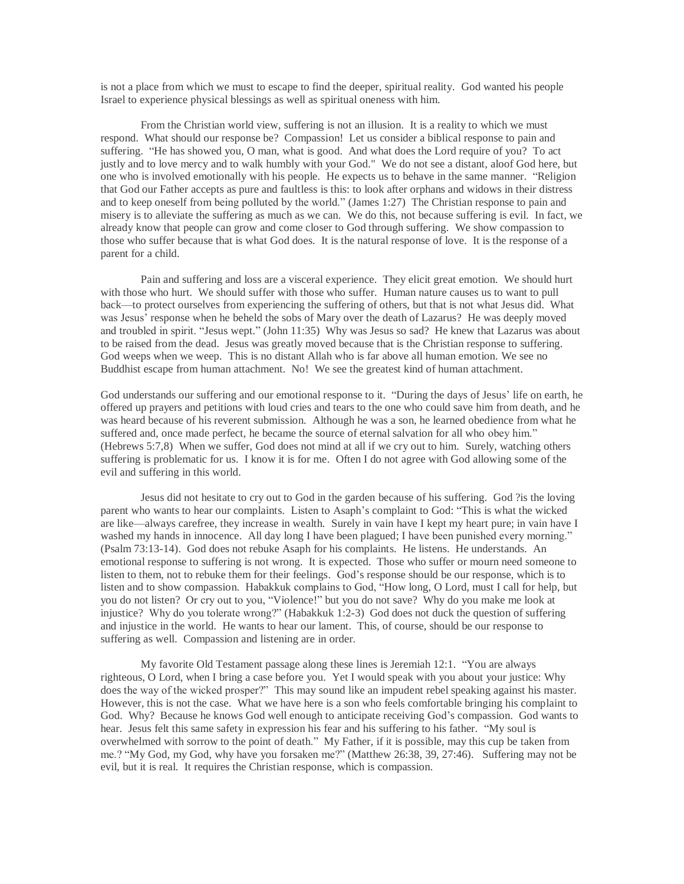is not a place from which we must to escape to find the deeper, spiritual reality. God wanted his people Israel to experience physical blessings as well as spiritual oneness with him.

From the Christian world view, suffering is not an illusion. It is a reality to which we must respond. What should our response be? Compassion! Let us consider a biblical response to pain and suffering. "He has showed you, O man, what is good. And what does the Lord require of you? To act justly and to love mercy and to walk humbly with your God." We do not see a distant, aloof God here, but one who is involved emotionally with his people. He expects us to behave in the same manner. "Religion that God our Father accepts as pure and faultless is this: to look after orphans and widows in their distress and to keep oneself from being polluted by the world." (James 1:27) The Christian response to pain and misery is to alleviate the suffering as much as we can. We do this, not because suffering is evil. In fact, we already know that people can grow and come closer to God through suffering. We show compassion to those who suffer because that is what God does. It is the natural response of love. It is the response of a parent for a child.

Pain and suffering and loss are a visceral experience. They elicit great emotion. We should hurt with those who hurt. We should suffer with those who suffer. Human nature causes us to want to pull back—to protect ourselves from experiencing the suffering of others, but that is not what Jesus did. What was Jesus' response when he beheld the sobs of Mary over the death of Lazarus? He was deeply moved and troubled in spirit. "Jesus wept." (John 11:35) Why was Jesus so sad? He knew that Lazarus was about to be raised from the dead. Jesus was greatly moved because that is the Christian response to suffering. God weeps when we weep. This is no distant Allah who is far above all human emotion. We see no Buddhist escape from human attachment. No! We see the greatest kind of human attachment.

God understands our suffering and our emotional response to it. "During the days of Jesus' life on earth, he offered up prayers and petitions with loud cries and tears to the one who could save him from death, and he was heard because of his reverent submission. Although he was a son, he learned obedience from what he suffered and, once made perfect, he became the source of eternal salvation for all who obey him." (Hebrews 5:7,8) When we suffer, God does not mind at all if we cry out to him. Surely, watching others suffering is problematic for us. I know it is for me. Often I do not agree with God allowing some of the evil and suffering in this world.

Jesus did not hesitate to cry out to God in the garden because of his suffering. God ?is the loving parent who wants to hear our complaints. Listen to Asaph's complaint to God: "This is what the wicked are like—always carefree, they increase in wealth. Surely in vain have I kept my heart pure; in vain have I washed my hands in innocence. All day long I have been plagued; I have been punished every morning." (Psalm 73:13-14). God does not rebuke Asaph for his complaints. He listens. He understands. An emotional response to suffering is not wrong. It is expected. Those who suffer or mourn need someone to listen to them, not to rebuke them for their feelings. God's response should be our response, which is to listen and to show compassion. Habakkuk complains to God, "How long, O Lord, must I call for help, but you do not listen? Or cry out to you, "Violence!" but you do not save? Why do you make me look at injustice? Why do you tolerate wrong?" (Habakkuk 1:2-3) God does not duck the question of suffering and injustice in the world. He wants to hear our lament. This, of course, should be our response to suffering as well. Compassion and listening are in order.

My favorite Old Testament passage along these lines is Jeremiah 12:1. "You are always righteous, O Lord, when I bring a case before you. Yet I would speak with you about your justice: Why does the way of the wicked prosper?" This may sound like an impudent rebel speaking against his master. However, this is not the case. What we have here is a son who feels comfortable bringing his complaint to God. Why? Because he knows God well enough to anticipate receiving God's compassion. God wants to hear. Jesus felt this same safety in expression his fear and his suffering to his father. "My soul is overwhelmed with sorrow to the point of death." My Father, if it is possible, may this cup be taken from me.? "My God, my God, why have you forsaken me?" (Matthew 26:38, 39, 27:46). Suffering may not be evil, but it is real. It requires the Christian response, which is compassion.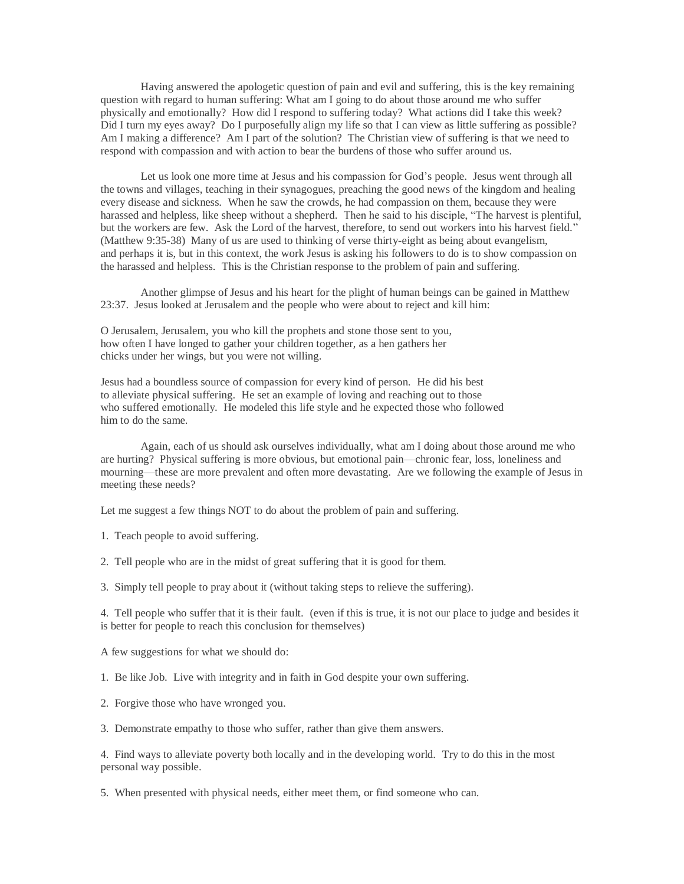Having answered the apologetic question of pain and evil and suffering, this is the key remaining question with regard to human suffering: What am I going to do about those around me who suffer physically and emotionally? How did I respond to suffering today? What actions did I take this week? Did I turn my eyes away? Do I purposefully align my life so that I can view as little suffering as possible? Am I making a difference? Am I part of the solution? The Christian view of suffering is that we need to respond with compassion and with action to bear the burdens of those who suffer around us.

Let us look one more time at Jesus and his compassion for God's people. Jesus went through all the towns and villages, teaching in their synagogues, preaching the good news of the kingdom and healing every disease and sickness. When he saw the crowds, he had compassion on them, because they were harassed and helpless, like sheep without a shepherd. Then he said to his disciple, "The harvest is plentiful, but the workers are few. Ask the Lord of the harvest, therefore, to send out workers into his harvest field." (Matthew 9:35-38) Many of us are used to thinking of verse thirty-eight as being about evangelism, and perhaps it is, but in this context, the work Jesus is asking his followers to do is to show compassion on the harassed and helpless. This is the Christian response to the problem of pain and suffering.

Another glimpse of Jesus and his heart for the plight of human beings can be gained in Matthew 23:37. Jesus looked at Jerusalem and the people who were about to reject and kill him:

O Jerusalem, Jerusalem, you who kill the prophets and stone those sent to you, how often I have longed to gather your children together, as a hen gathers her chicks under her wings, but you were not willing.

Jesus had a boundless source of compassion for every kind of person. He did his best to alleviate physical suffering. He set an example of loving and reaching out to those who suffered emotionally. He modeled this life style and he expected those who followed him to do the same.

Again, each of us should ask ourselves individually, what am I doing about those around me who are hurting? Physical suffering is more obvious, but emotional pain—chronic fear, loss, loneliness and mourning—these are more prevalent and often more devastating. Are we following the example of Jesus in meeting these needs?

Let me suggest a few things NOT to do about the problem of pain and suffering.

1. Teach people to avoid suffering.

2. Tell people who are in the midst of great suffering that it is good for them.

3. Simply tell people to pray about it (without taking steps to relieve the suffering).

4. Tell people who suffer that it is their fault. (even if this is true, it is not our place to judge and besides it is better for people to reach this conclusion for themselves)

A few suggestions for what we should do:

- 1. Be like Job. Live with integrity and in faith in God despite your own suffering.
- 2. Forgive those who have wronged you.
- 3. Demonstrate empathy to those who suffer, rather than give them answers.

4. Find ways to alleviate poverty both locally and in the developing world. Try to do this in the most personal way possible.

5. When presented with physical needs, either meet them, or find someone who can.